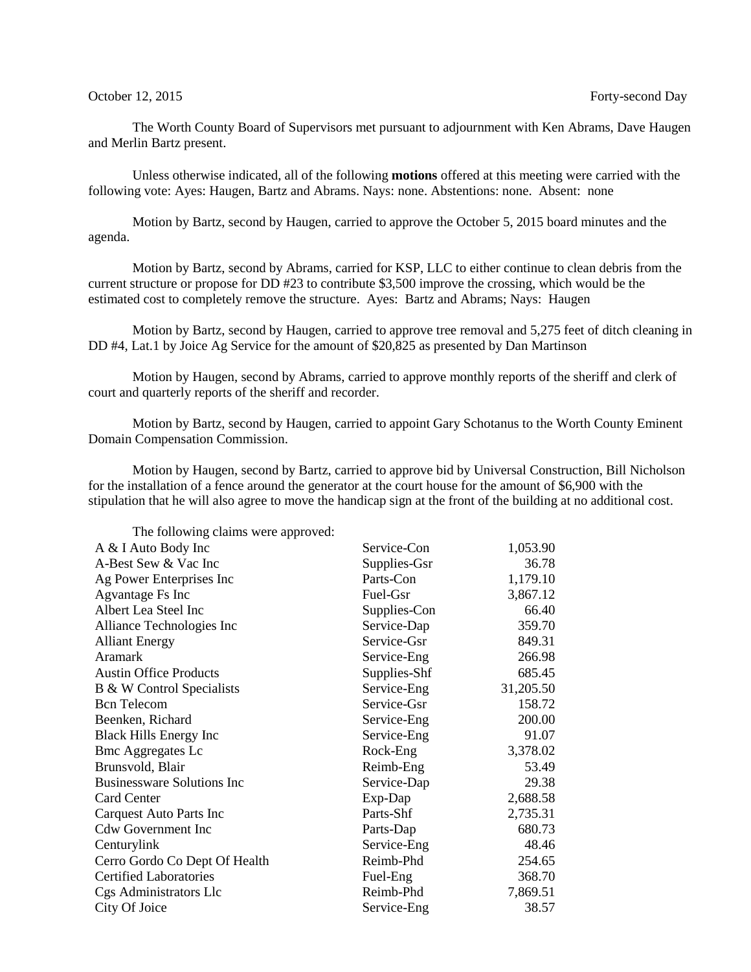The Worth County Board of Supervisors met pursuant to adjournment with Ken Abrams, Dave Haugen and Merlin Bartz present.

Unless otherwise indicated, all of the following **motions** offered at this meeting were carried with the following vote: Ayes: Haugen, Bartz and Abrams. Nays: none. Abstentions: none. Absent: none

Motion by Bartz, second by Haugen, carried to approve the October 5, 2015 board minutes and the agenda.

Motion by Bartz, second by Abrams, carried for KSP, LLC to either continue to clean debris from the current structure or propose for DD #23 to contribute \$3,500 improve the crossing, which would be the estimated cost to completely remove the structure. Ayes: Bartz and Abrams; Nays: Haugen

Motion by Bartz, second by Haugen, carried to approve tree removal and 5,275 feet of ditch cleaning in DD #4, Lat.1 by Joice Ag Service for the amount of \$20,825 as presented by Dan Martinson

Motion by Haugen, second by Abrams, carried to approve monthly reports of the sheriff and clerk of court and quarterly reports of the sheriff and recorder.

Motion by Bartz, second by Haugen, carried to appoint Gary Schotanus to the Worth County Eminent Domain Compensation Commission.

Motion by Haugen, second by Bartz, carried to approve bid by Universal Construction, Bill Nicholson for the installation of a fence around the generator at the court house for the amount of \$6,900 with the stipulation that he will also agree to move the handicap sign at the front of the building at no additional cost.

The following claims were approved:

| A & I Auto Body Inc               | Service-Con  | 1,053.90  |
|-----------------------------------|--------------|-----------|
| A-Best Sew & Vac Inc              | Supplies-Gsr | 36.78     |
| Ag Power Enterprises Inc          | Parts-Con    | 1,179.10  |
| Agvantage Fs Inc                  | Fuel-Gsr     | 3,867.12  |
| Albert Lea Steel Inc              | Supplies-Con | 66.40     |
| Alliance Technologies Inc         | Service-Dap  | 359.70    |
| <b>Alliant Energy</b>             | Service-Gsr  | 849.31    |
| <b>Aramark</b>                    | Service-Eng  | 266.98    |
| <b>Austin Office Products</b>     | Supplies-Shf | 685.45    |
| B & W Control Specialists         | Service-Eng  | 31,205.50 |
| <b>Bcn</b> Telecom                | Service-Gsr  | 158.72    |
| Beenken, Richard                  | Service-Eng  | 200.00    |
| <b>Black Hills Energy Inc</b>     | Service-Eng  | 91.07     |
| <b>Bmc Aggregates Lc</b>          | Rock-Eng     | 3,378.02  |
| Brunsvold, Blair                  | Reimb-Eng    | 53.49     |
| <b>Businessware Solutions Inc</b> | Service-Dap  | 29.38     |
| Card Center                       | Exp-Dap      | 2,688.58  |
| <b>Carquest Auto Parts Inc</b>    | Parts-Shf    | 2,735.31  |
| <b>Cdw Government Inc</b>         | Parts-Dap    | 680.73    |
| Centurylink                       | Service-Eng  | 48.46     |
| Cerro Gordo Co Dept Of Health     | Reimb-Phd    | 254.65    |
| <b>Certified Laboratories</b>     | Fuel-Eng     | 368.70    |
| Cgs Administrators Llc            | Reimb-Phd    | 7,869.51  |
| City Of Joice                     | Service-Eng  | 38.57     |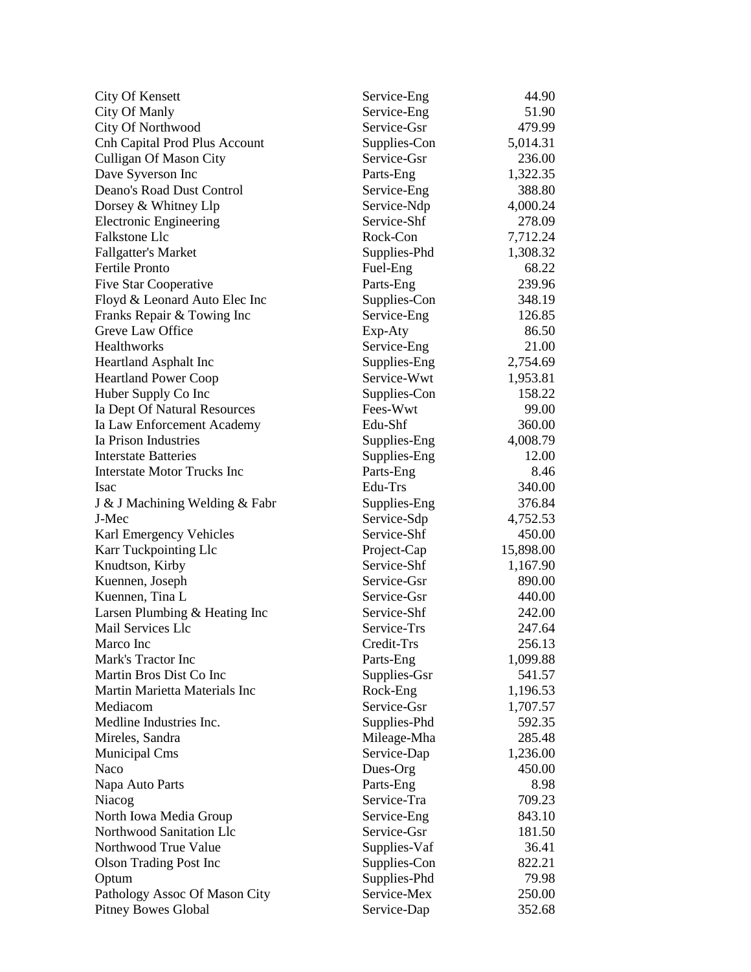| <b>City Of Kensett</b>               | Service-Eng  | 44.90     |
|--------------------------------------|--------------|-----------|
| City Of Manly                        | Service-Eng  | 51.90     |
| City Of Northwood                    | Service-Gsr  | 479.99    |
| <b>Cnh Capital Prod Plus Account</b> | Supplies-Con | 5,014.31  |
| <b>Culligan Of Mason City</b>        | Service-Gsr  | 236.00    |
| Dave Syverson Inc                    | Parts-Eng    | 1,322.35  |
| Deano's Road Dust Control            | Service-Eng  | 388.80    |
| Dorsey & Whitney Llp                 | Service-Ndp  | 4,000.24  |
| <b>Electronic Engineering</b>        | Service-Shf  | 278.09    |
| Falkstone Llc                        | Rock-Con     | 7,712.24  |
| <b>Fallgatter's Market</b>           | Supplies-Phd | 1,308.32  |
| <b>Fertile Pronto</b>                | Fuel-Eng     | 68.22     |
| Five Star Cooperative                | Parts-Eng    | 239.96    |
| Floyd & Leonard Auto Elec Inc        | Supplies-Con | 348.19    |
| Franks Repair & Towing Inc           | Service-Eng  | 126.85    |
| Greve Law Office                     | Exp-Aty      | 86.50     |
| Healthworks                          | Service-Eng  | 21.00     |
| <b>Heartland Asphalt Inc</b>         | Supplies-Eng | 2,754.69  |
| <b>Heartland Power Coop</b>          | Service-Wwt  | 1,953.81  |
| Huber Supply Co Inc                  | Supplies-Con | 158.22    |
| Ia Dept Of Natural Resources         | Fees-Wwt     | 99.00     |
| Ia Law Enforcement Academy           | Edu-Shf      | 360.00    |
| Ia Prison Industries                 | Supplies-Eng | 4,008.79  |
| <b>Interstate Batteries</b>          | Supplies-Eng | 12.00     |
| <b>Interstate Motor Trucks Inc</b>   | Parts-Eng    | 8.46      |
| Isac                                 | Edu-Trs      | 340.00    |
| J & J Machining Welding & Fabr       | Supplies-Eng | 376.84    |
| J-Mec                                | Service-Sdp  | 4,752.53  |
| Karl Emergency Vehicles              | Service-Shf  | 450.00    |
| Karr Tuckpointing Llc                | Project-Cap  | 15,898.00 |
| Knudtson, Kirby                      | Service-Shf  | 1,167.90  |
| Kuennen, Joseph                      | Service-Gsr  | 890.00    |
| Kuennen, Tina L                      | Service-Gsr  | 440.00    |
| Larsen Plumbing & Heating Inc        | Service-Shf  | 242.00    |
| Mail Services Llc                    | Service-Trs  | 247.64    |
| Marco Inc                            | Credit-Trs   | 256.13    |
| Mark's Tractor Inc                   | Parts-Eng    | 1,099.88  |
| Martin Bros Dist Co Inc              | Supplies-Gsr | 541.57    |
| Martin Marietta Materials Inc        | Rock-Eng     | 1,196.53  |
| Mediacom                             | Service-Gsr  | 1,707.57  |
| Medline Industries Inc.              | Supplies-Phd | 592.35    |
| Mireles, Sandra                      | Mileage-Mha  | 285.48    |
| Municipal Cms                        | Service-Dap  | 1,236.00  |
| Naco                                 | Dues-Org     | 450.00    |
| Napa Auto Parts                      | Parts-Eng    | 8.98      |
| Niacog                               | Service-Tra  | 709.23    |
| North Iowa Media Group               | Service-Eng  | 843.10    |
| Northwood Sanitation Llc             | Service-Gsr  | 181.50    |
| Northwood True Value                 | Supplies-Vaf | 36.41     |
| <b>Olson Trading Post Inc</b>        | Supplies-Con | 822.21    |
| Optum                                | Supplies-Phd | 79.98     |
| Pathology Assoc Of Mason City        | Service-Mex  | 250.00    |
| <b>Pitney Bowes Global</b>           | Service-Dap  | 352.68    |
|                                      |              |           |